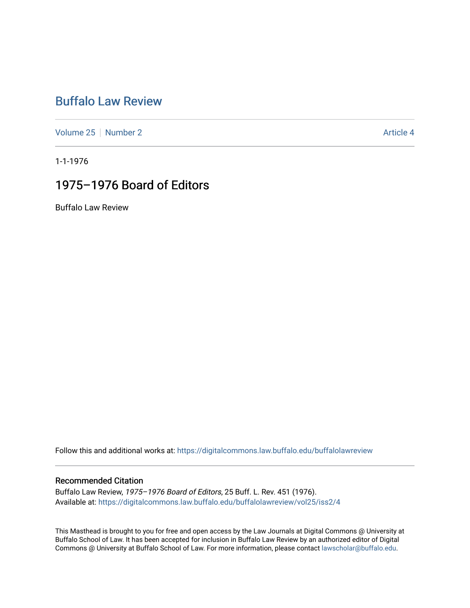# [Buffalo Law Review](https://digitalcommons.law.buffalo.edu/buffalolawreview)

[Volume 25](https://digitalcommons.law.buffalo.edu/buffalolawreview/vol25) [Number 2](https://digitalcommons.law.buffalo.edu/buffalolawreview/vol25/iss2) Article 4

1-1-1976

# 1975–1976 Board of Editors

Buffalo Law Review

Follow this and additional works at: [https://digitalcommons.law.buffalo.edu/buffalolawreview](https://digitalcommons.law.buffalo.edu/buffalolawreview?utm_source=digitalcommons.law.buffalo.edu%2Fbuffalolawreview%2Fvol25%2Fiss2%2F4&utm_medium=PDF&utm_campaign=PDFCoverPages) 

#### Recommended Citation

Buffalo Law Review, 1975–1976 Board of Editors, 25 Buff. L. Rev. 451 (1976). Available at: [https://digitalcommons.law.buffalo.edu/buffalolawreview/vol25/iss2/4](https://digitalcommons.law.buffalo.edu/buffalolawreview/vol25/iss2/4?utm_source=digitalcommons.law.buffalo.edu%2Fbuffalolawreview%2Fvol25%2Fiss2%2F4&utm_medium=PDF&utm_campaign=PDFCoverPages) 

This Masthead is brought to you for free and open access by the Law Journals at Digital Commons @ University at Buffalo School of Law. It has been accepted for inclusion in Buffalo Law Review by an authorized editor of Digital Commons @ University at Buffalo School of Law. For more information, please contact [lawscholar@buffalo.edu](mailto:lawscholar@buffalo.edu).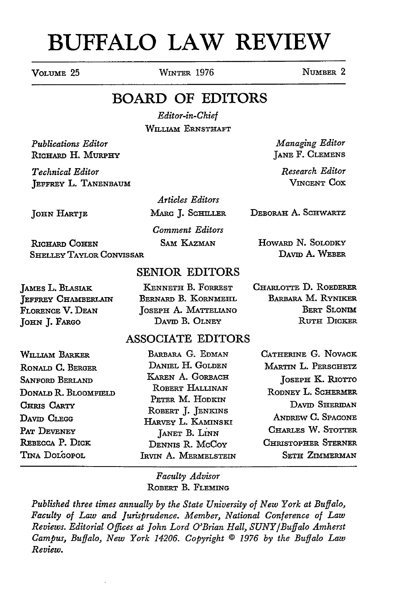# **BUFFALO LAW REVIEW**

VOLUME 25 WINTER 1976 NUMBER 2

## BOARD OF EDITORS

*Editor-in-Chief* WILLIAM ERNSTHAFT

*Publications Editor* RICHARD H. MURPHY

*Technical Editor* JEFFREY L. TANENBAUM

JOHN **HARTJE**

MARC J. SCHILLER

*Comment Editors* SAM KAZMAN

RICHARD COHEN Shelley Taylor Convissar

### SENIOR EDITORS

JAMES L. BLASIAK JEFFREY CHAMBERLAIN FLORENCE V. DEAN **JOHN J.** FARGO

**KENNETH** B. FORREST BERNARD B. KORNMEHL JOSEPH A. MATTELIANO DAVID B. OLNEY

## ASSOCIATE EDITORS

| WILLIAM BARKER         | BARBARA G. EDMAN                        | CATHERINE G. NOVACK        |
|------------------------|-----------------------------------------|----------------------------|
| RONALD C. BERGER       | DANIEL H. GOLDEN                        | MARTIN L. PERSCHETZ        |
| <b>SANFORD BERLAND</b> | KAREN A. GORBACH                        | JOSEPH K. RIOTTO           |
| DONALD R. BLOOMFIELD   | ROBERT HALLINAN                         | RODNEY L. SCHERMER         |
| CHRIS CARTY            | PETER M. HODKIN                         | DAVID SHERIDAN             |
| David Clegg            | ROBERT J. JENKINS<br>HARVEY L. KAMINSKI | ANDREW C. SPACONE          |
| PAT DEVENEY            | JANET B. LINN                           | CHARLES W. STOTTER         |
| REBECCA P. DICK        | DENNIS R. McCoy                         | <b>CHRISTOPHER STERNER</b> |
| TINA DOLGOPOL          | IRVIN A. MERMELSTEIN                    | <b>SETH ZIMMERMAN</b>      |
|                        |                                         |                            |

*Faculty Advisor* ROBERT B. FLEMING

*Published three times annually by the State University of New York at Buffalo, Faculty of Law and Jurisprudence. Member, National Conference of Law Reviews. Editorial Offices at John Lord O'Brian Hall, SUNY/Buffalo Amherst Campus, Buffalo, New York 14206. Copyright © 1976 by the Buffalo Law Review.*

*Articles Editors*

DEBORAH A. SCHWARTZ

*Managing Editor* **JANE** F. **CLEMENS** *Research Editor* VINCENT COX

HoWARD N. SOLODKY DAVID A. WEBER

CHARLOTTE **D.** ROEDERER **BARBARA M. RYNIKER** BERT SLONIM RUTH DICKER